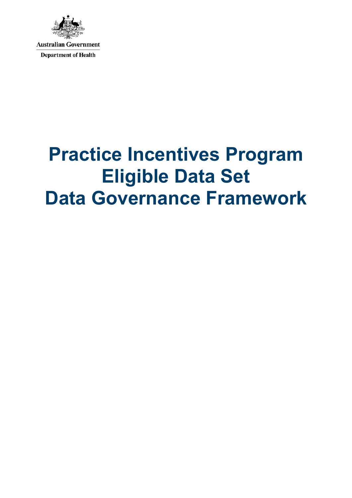

# **Practice Incentives Program Eligible Data Set Data Governance Framework**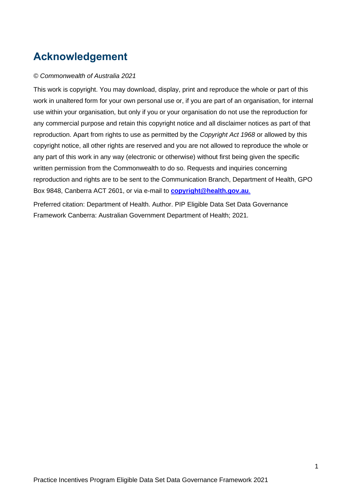# <span id="page-1-0"></span>**Acknowledgement**

#### *© Commonwealth of Australia 2021*

This work is copyright. You may download, display, print and reproduce the whole or part of this work in unaltered form for your own personal use or, if you are part of an organisation, for internal use within your organisation, but only if you or your organisation do not use the reproduction for any commercial purpose and retain this copyright notice and all disclaimer notices as part of that reproduction. Apart from rights to use as permitted by the *Copyright Act 1968* or allowed by this copyright notice, all other rights are reserved and you are not allowed to reproduce the whole or any part of this work in any way (electronic or otherwise) without first being given the specific written permission from the Commonwealth to do so. Requests and inquiries concerning reproduction and rights are to be sent to the Communication Branch, Department of Health, GPO Box 9848, Canberra ACT 2601, or via e-mail to **[copyright@health.gov.au](mailto:copyright@health.gov.au)**.

Preferred citation: Department of Health. Author. PIP Eligible Data Set Data Governance Framework Canberra: Australian Government Department of Health; 2021.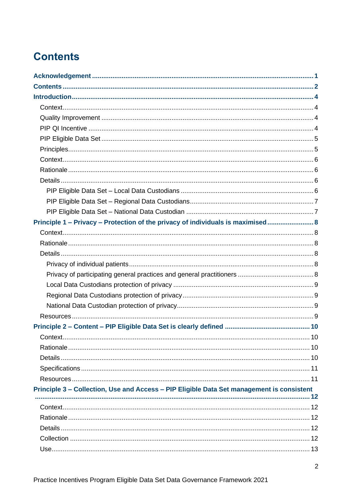# <span id="page-2-0"></span>**Contents**

| Principle 1 – Privacy – Protection of the privacy of individuals is maximised 8           |  |
|-------------------------------------------------------------------------------------------|--|
|                                                                                           |  |
|                                                                                           |  |
|                                                                                           |  |
|                                                                                           |  |
|                                                                                           |  |
|                                                                                           |  |
|                                                                                           |  |
|                                                                                           |  |
|                                                                                           |  |
|                                                                                           |  |
|                                                                                           |  |
|                                                                                           |  |
|                                                                                           |  |
|                                                                                           |  |
|                                                                                           |  |
| Principle 3 - Collection, Use and Access - PIP Eligible Data Set management is consistent |  |
|                                                                                           |  |
|                                                                                           |  |
|                                                                                           |  |
|                                                                                           |  |
|                                                                                           |  |
|                                                                                           |  |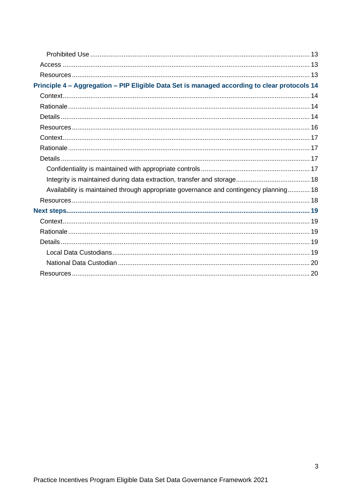| Principle 4 - Aggregation - PIP Eligible Data Set is managed according to clear protocols 14 |  |
|----------------------------------------------------------------------------------------------|--|
|                                                                                              |  |
|                                                                                              |  |
|                                                                                              |  |
|                                                                                              |  |
|                                                                                              |  |
|                                                                                              |  |
|                                                                                              |  |
|                                                                                              |  |
|                                                                                              |  |
| Availability is maintained through appropriate governance and contingency planning 18        |  |
|                                                                                              |  |
|                                                                                              |  |
|                                                                                              |  |
|                                                                                              |  |
|                                                                                              |  |
|                                                                                              |  |
|                                                                                              |  |
|                                                                                              |  |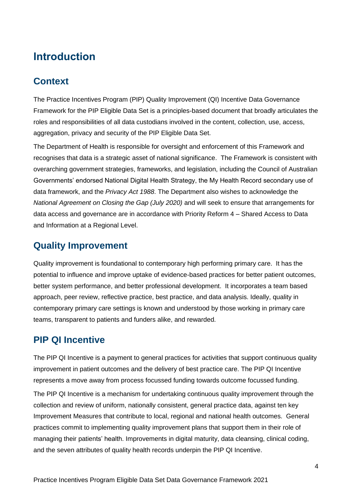# <span id="page-4-0"></span>**Introduction**

### <span id="page-4-1"></span>**Context**

The Practice Incentives Program (PIP) Quality Improvement (QI) Incentive Data Governance Framework for the PIP Eligible Data Set is a principles-based document that broadly articulates the roles and responsibilities of all data custodians involved in the content, collection, use, access, aggregation, privacy and security of the PIP Eligible Data Set.

The Department of Health is responsible for oversight and enforcement of this Framework and recognises that data is a strategic asset of national significance. The Framework is consistent with overarching government strategies, frameworks, and legislation, including the Council of Australian Governments' endorsed National Digital Health Strategy, the My Health Record secondary use of data framework, and the *Privacy Act 1988*. The Department also wishes to acknowledge the *National Agreement on Closing the Gap (July 2020)* and will seek to ensure that arrangements for data access and governance are in accordance with Priority Reform 4 – Shared Access to Data and Information at a Regional Level.

### <span id="page-4-2"></span>**Quality Improvement**

Quality improvement is foundational to contemporary high performing primary care. It has the potential to influence and improve uptake of evidence-based practices for better patient outcomes, better system performance, and better professional development. It incorporates a team based approach, peer review, reflective practice, best practice, and data analysis. Ideally, quality in contemporary primary care settings is known and understood by those working in primary care teams, transparent to patients and funders alike, and rewarded.

### <span id="page-4-3"></span>**PIP QI Incentive**

The PIP QI Incentive is a payment to general practices for activities that support continuous quality improvement in patient outcomes and the delivery of best practice care. The PIP QI Incentive represents a move away from process focussed funding towards outcome focussed funding. The PIP QI Incentive is a mechanism for undertaking continuous quality improvement through the collection and review of uniform, nationally consistent, general practice data, against ten key Improvement Measures that contribute to local, regional and national health outcomes. General practices commit to implementing quality improvement plans that support them in their role of managing their patients' health. Improvements in digital maturity, data cleansing, clinical coding, and the seven attributes of quality health records underpin the PIP QI Incentive.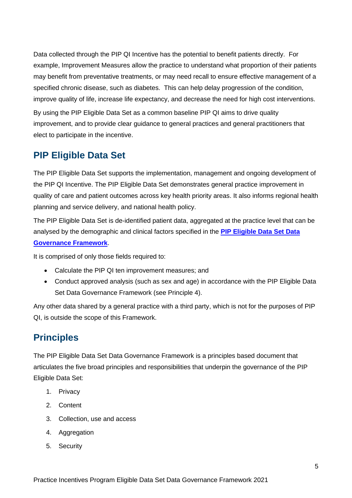Data collected through the PIP QI Incentive has the potential to benefit patients directly. For example, Improvement Measures allow the practice to understand what proportion of their patients may benefit from preventative treatments, or may need recall to ensure effective management of a specified chronic disease, such as diabetes. This can help delay progression of the condition, improve quality of life, increase life expectancy, and decrease the need for high cost interventions.

By using the PIP Eligible Data Set as a common baseline PIP QI aims to drive quality improvement, and to provide clear guidance to general practices and general practitioners that elect to participate in the incentive.

#### <span id="page-5-0"></span>**PIP Eligible Data Set**

The PIP Eligible Data Set supports the implementation, management and ongoing development of the PIP QI Incentive. The PIP Eligible Data Set demonstrates general practice improvement in quality of care and patient outcomes across key health priority areas. It also informs regional health planning and service delivery, and national health policy.

The PIP Eligible Data Set is de-identified patient data, aggregated at the practice level that can be analysed by the demographic and clinical factors specified in the **PIP [Eligible Data Set Data](https://www1.health.gov.au/internet/main/publishing.nsf/Content/PIP-QI_Incentive_guidance)  [Governance Framework](https://www1.health.gov.au/internet/main/publishing.nsf/Content/PIP-QI_Incentive_guidance)**.

It is comprised of only those fields required to:

- Calculate the PIP QI ten improvement measures; and
- Conduct approved analysis (such as sex and age) in accordance with the PIP Eligible Data Set Data Governance Framework (see Principle 4).

Any other data shared by a general practice with a third party, which is not for the purposes of PIP QI, is outside the scope of this Framework.

#### <span id="page-5-1"></span>**Principles**

The PIP Eligible Data Set Data Governance Framework is a principles based document that articulates the five broad principles and responsibilities that underpin the governance of the PIP Eligible Data Set:

- 1. Privacy
- 2. Content
- 3. Collection, use and access
- 4. Aggregation
- 5. Security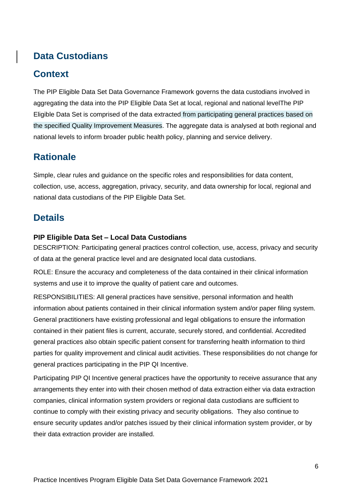### **Data Custodians**

#### <span id="page-6-0"></span>**Context**

The PIP Eligible Data Set Data Governance Framework governs the data custodians involved in aggregating the data into the PIP Eligible Data Set at local, regional and national levelThe PIP Eligible Data Set is comprised of the data extracted from participating general practices based on the specified Quality Improvement Measures. The aggregate data is analysed at both regional and national levels to inform broader public health policy, planning and service delivery.

#### <span id="page-6-1"></span>**Rationale**

Simple, clear rules and guidance on the specific roles and responsibilities for data content, collection, use, access, aggregation, privacy, security, and data ownership for local, regional and national data custodians of the PIP Eligible Data Set.

#### <span id="page-6-2"></span>**Details**

#### <span id="page-6-3"></span>**PIP Eligible Data Set – Local Data Custodians**

DESCRIPTION: Participating general practices control collection, use, access, privacy and security of data at the general practice level and are designated local data custodians.

ROLE: Ensure the accuracy and completeness of the data contained in their clinical information systems and use it to improve the quality of patient care and outcomes.

RESPONSIBILITIES: All general practices have sensitive, personal information and health information about patients contained in their clinical information system and/or paper filing system. General practitioners have existing professional and legal obligations to ensure the information contained in their patient files is current, accurate, securely stored, and confidential. Accredited general practices also obtain specific patient consent for transferring health information to third parties for quality improvement and clinical audit activities. These responsibilities do not change for general practices participating in the PIP QI Incentive.

Participating PIP QI Incentive general practices have the opportunity to receive assurance that any arrangements they enter into with their chosen method of data extraction either via data extraction companies, clinical information system providers or regional data custodians are sufficient to continue to comply with their existing privacy and security obligations. They also continue to ensure security updates and/or patches issued by their clinical information system provider, or by their data extraction provider are installed.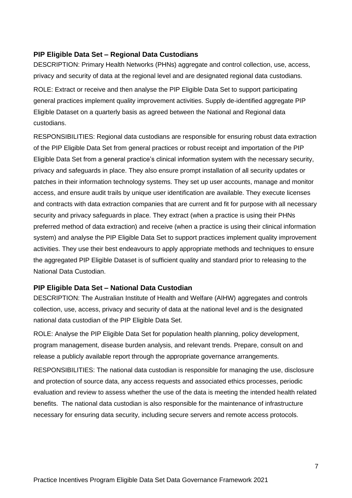#### <span id="page-7-0"></span>**PIP Eligible Data Set – Regional Data Custodians**

DESCRIPTION: Primary Health Networks (PHNs) aggregate and control collection, use, access, privacy and security of data at the regional level and are designated regional data custodians. ROLE: Extract or receive and then analyse the PIP Eligible Data Set to support participating general practices implement quality improvement activities. Supply de-identified aggregate PIP Eligible Dataset on a quarterly basis as agreed between the National and Regional data custodians.

RESPONSIBILITIES: Regional data custodians are responsible for ensuring robust data extraction of the PIP Eligible Data Set from general practices or robust receipt and importation of the PIP Eligible Data Set from a general practice's clinical information system with the necessary security, privacy and safeguards in place. They also ensure prompt installation of all security updates or patches in their information technology systems. They set up user accounts, manage and monitor access, and ensure audit trails by unique user identification are available. They execute licenses and contracts with data extraction companies that are current and fit for purpose with all necessary security and privacy safeguards in place. They extract (when a practice is using their PHNs preferred method of data extraction) and receive (when a practice is using their clinical information system) and analyse the PIP Eligible Data Set to support practices implement quality improvement activities. They use their best endeavours to apply appropriate methods and techniques to ensure the aggregated PIP Eligible Dataset is of sufficient quality and standard prior to releasing to the National Data Custodian.

#### <span id="page-7-1"></span>**PIP Eligible Data Set – National Data Custodian**

DESCRIPTION: The Australian Institute of Health and Welfare (AIHW) aggregates and controls collection, use, access, privacy and security of data at the national level and is the designated national data custodian of the PIP Eligible Data Set.

ROLE: Analyse the PIP Eligible Data Set for population health planning, policy development, program management, disease burden analysis, and relevant trends. Prepare, consult on and release a publicly available report through the appropriate governance arrangements.

RESPONSIBILITIES: The national data custodian is responsible for managing the use, disclosure and protection of source data, any access requests and associated ethics processes, periodic evaluation and review to assess whether the use of the data is meeting the intended health related benefits. The national data custodian is also responsible for the maintenance of infrastructure necessary for ensuring data security, including secure servers and remote access protocols.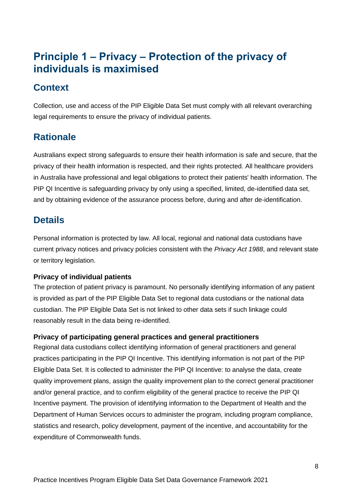# <span id="page-8-0"></span>**Principle 1 – Privacy – Protection of the privacy of individuals is maximised**

### <span id="page-8-1"></span>**Context**

Collection, use and access of the PIP Eligible Data Set must comply with all relevant overarching legal requirements to ensure the privacy of individual patients.

### <span id="page-8-2"></span>**Rationale**

Australians expect strong safeguards to ensure their health information is safe and secure, that the privacy of their health information is respected, and their rights protected. All healthcare providers in Australia have professional and legal obligations to protect their patients' health information. The PIP QI Incentive is safeguarding privacy by only using a specified, limited, de-identified data set, and by obtaining evidence of the assurance process before, during and after de-identification.

#### <span id="page-8-3"></span>**Details**

Personal information is protected by law. All local, regional and national data custodians have current privacy notices and privacy policies consistent with the *Privacy Act 1988*, and relevant state or territory legislation.

#### <span id="page-8-4"></span>**Privacy of individual patients**

The protection of patient privacy is paramount. No personally identifying information of any patient is provided as part of the PIP Eligible Data Set to regional data custodians or the national data custodian. The PIP Eligible Data Set is not linked to other data sets if such linkage could reasonably result in the data being re-identified.

#### <span id="page-8-5"></span>**Privacy of participating general practices and general practitioners**

Regional data custodians collect identifying information of general practitioners and general practices participating in the PIP QI Incentive. This identifying information is not part of the PIP Eligible Data Set. It is collected to administer the PIP QI Incentive: to analyse the data, create quality improvement plans, assign the quality improvement plan to the correct general practitioner and/or general practice, and to confirm eligibility of the general practice to receive the PIP QI Incentive payment. The provision of identifying information to the Department of Health and the Department of Human Services occurs to administer the program, including program compliance, statistics and research, policy development, payment of the incentive, and accountability for the expenditure of Commonwealth funds.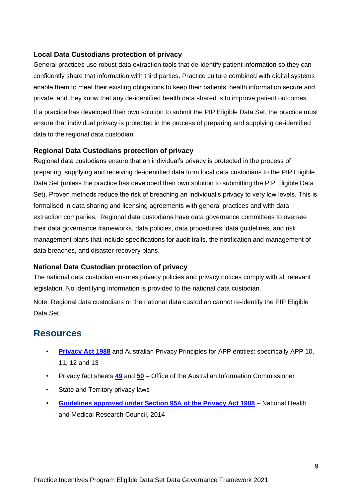#### <span id="page-9-0"></span>**Local Data Custodians protection of privacy**

General practices use robust data extraction tools that de-identify patient information so they can confidently share that information with third parties. Practice culture combined with digital systems enable them to meet their existing obligations to keep their patients' health information secure and private, and they know that any de-identified health data shared is to improve patient outcomes.

If a practice has developed their own solution to submit the PIP Eligible Data Set, the practice must ensure that individual privacy is protected in the process of preparing and supplying de-identified data to the regional data custodian.

#### <span id="page-9-1"></span>**Regional Data Custodians protection of privacy**

Regional data custodians ensure that an individual's privacy is protected in the process of preparing, supplying and receiving de-identified data from local data custodians to the PIP Eligible Data Set (unless the practice has developed their own solution to submitting the PIP Eligible Data Set). Proven methods reduce the risk of breaching an individual's privacy to very low levels. This is formalised in data sharing and licensing agreements with general practices and with data extraction companies. Regional data custodians have data governance committees to oversee their data governance frameworks, data policies, data procedures, data guidelines, and risk management plans that include specifications for audit trails, the notification and management of data breaches, and disaster recovery plans.

#### <span id="page-9-2"></span>**National Data Custodian protection of privacy**

The national data custodian ensures privacy policies and privacy notices comply with all relevant legislation. No identifying information is provided to the national data custodian.

<span id="page-9-3"></span>Note: Regional data custodians or the national data custodian cannot re-identify the PIP Eligible Data Set.

- **[Privacy Act 1988](https://www.legislation.gov.au/Details/C2018C00292)** and Australian Privacy Principles for APP entities: specifically APP 10, 11, 12 and 13
- Privacy fact sheets **[49](https://www.oaic.gov.au/individuals/privacy-fact-sheets/health-and-digital-health/privacy-fact-sheet-49)** and **[50](https://www.oaic.gov.au/individuals/privacy-fact-sheets/health-and-digital-health/privacy-fact-sheet-50)** Office of the Australian Information Commissioner
- State and Territory privacy laws
- **[Guidelines approved under Section 95A of the Privacy Act 1988](https://nhmrc.gov.au/about-us/publications/guidelines-approved-under-section-95a-privacy-act-1988)** National Health and Medical Research Council, 2014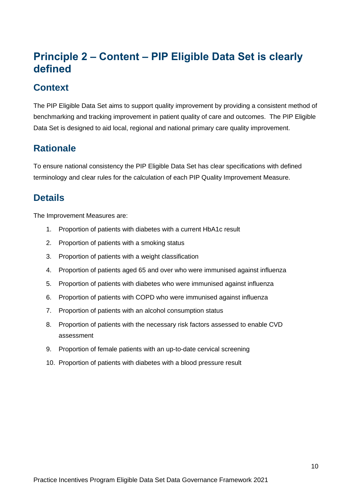# <span id="page-10-0"></span>**Principle 2 – Content – PIP Eligible Data Set is clearly defined**

#### <span id="page-10-1"></span>**Context**

The PIP Eligible Data Set aims to support quality improvement by providing a consistent method of benchmarking and tracking improvement in patient quality of care and outcomes. The PIP Eligible Data Set is designed to aid local, regional and national primary care quality improvement.

### <span id="page-10-2"></span>**Rationale**

To ensure national consistency the PIP Eligible Data Set has clear specifications with defined terminology and clear rules for the calculation of each PIP Quality Improvement Measure.

#### <span id="page-10-3"></span>**Details**

The Improvement Measures are:

- 1. Proportion of patients with diabetes with a current HbA1c result
- 2. Proportion of patients with a smoking status
- 3. Proportion of patients with a weight classification
- 4. Proportion of patients aged 65 and over who were immunised against influenza
- 5. Proportion of patients with diabetes who were immunised against influenza
- 6. Proportion of patients with COPD who were immunised against influenza
- 7. Proportion of patients with an alcohol consumption status
- 8. Proportion of patients with the necessary risk factors assessed to enable CVD assessment
- 9. Proportion of female patients with an up-to-date cervical screening
- 10. Proportion of patients with diabetes with a blood pressure result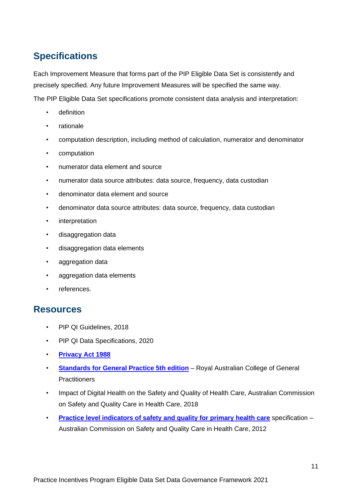### <span id="page-11-0"></span>**Specifications**

Each Improvement Measure that forms part of the PIP Eligible Data Set is consistently and precisely specified. Any future Improvement Measures will be specified the same way.

The PIP Eligible Data Set specifications promote consistent data analysis and interpretation:

- definition
- **rationale**
- computation description, including method of calculation, numerator and denominator
- computation
- numerator data element and source
- numerator data source attributes: data source, frequency, data custodian
- denominator data element and source
- denominator data source attributes: data source, frequency, data custodian
- **interpretation**
- disaggregation data
- disaggregation data elements
- aggregation data
- aggregation data elements
- <span id="page-11-1"></span>• references.

- PIP QI Guidelines, 2018
- PIP QI Data Specifications, 2020
- **[Privacy Act 1988](https://www.legislation.gov.au/Details/C2018C00292)**
- **[Standards for General Practice 5th edition](https://www.racgp.org.au/your-practice/standards/standards-for-general-practices-(5th-edition)/)** Royal Australian College of General **Practitioners**
- Impact of Digital Health on the Safety and Quality of Health Care, Australian Commission on Safety and Quality Care in Health Care, 2018
- **[Practice level indicators of safety and quality for primary health care](https://www.safetyandquality.gov.au/our-work/indicators/practice-level-indicators-of-safety-and-quality-for-primary-health-care/)** specification Australian Commission on Safety and Quality Care in Health Care, 2012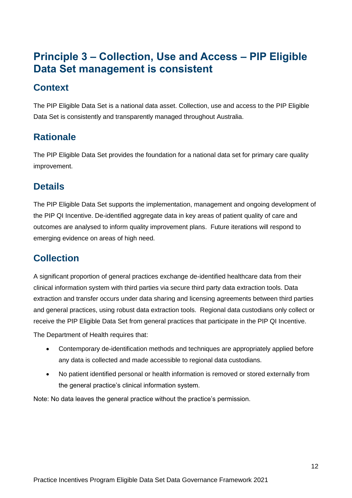# <span id="page-12-0"></span>**Principle 3 – Collection, Use and Access – PIP Eligible Data Set management is consistent**

#### <span id="page-12-1"></span>**Context**

The PIP Eligible Data Set is a national data asset. Collection, use and access to the PIP Eligible Data Set is consistently and transparently managed throughout Australia.

### <span id="page-12-2"></span>**Rationale**

The PIP Eligible Data Set provides the foundation for a national data set for primary care quality improvement.

#### <span id="page-12-3"></span>**Details**

The PIP Eligible Data Set supports the implementation, management and ongoing development of the PIP QI Incentive. De-identified aggregate data in key areas of patient quality of care and outcomes are analysed to inform quality improvement plans. Future iterations will respond to emerging evidence on areas of high need.

### <span id="page-12-4"></span>**Collection**

A significant proportion of general practices exchange de-identified healthcare data from their clinical information system with third parties via secure third party data extraction tools. Data extraction and transfer occurs under data sharing and licensing agreements between third parties and general practices, using robust data extraction tools. Regional data custodians only collect or receive the PIP Eligible Data Set from general practices that participate in the PIP QI Incentive.

The Department of Health requires that:

- Contemporary de-identification methods and techniques are appropriately applied before any data is collected and made accessible to regional data custodians.
- No patient identified personal or health information is removed or stored externally from the general practice's clinical information system.

Note: No data leaves the general practice without the practice's permission.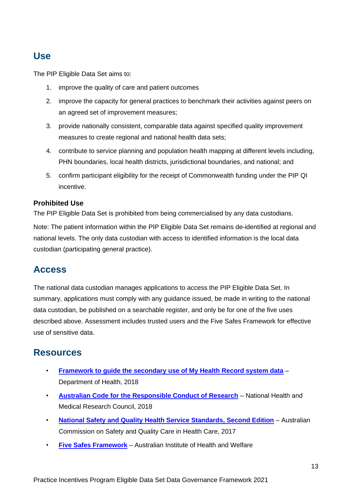#### <span id="page-13-0"></span>**Use**

The PIP Eligible Data Set aims to:

- 1. improve the quality of care and patient outcomes
- 2. improve the capacity for general practices to benchmark their activities against peers on an agreed set of improvement measures;
- 3. provide nationally consistent, comparable data against specified quality improvement measures to create regional and national health data sets;
- 4. contribute to service planning and population health mapping at different levels including, PHN boundaries, local health districts, jurisdictional boundaries, and national; and
- 5. confirm participant eligibility for the receipt of Commonwealth funding under the PIP QI incentive.

#### <span id="page-13-1"></span>**Prohibited Use**

The PIP Eligible Data Set is prohibited from being commercialised by any data custodians.

Note: The patient information within the PIP Eligible Data Set remains de-identified at regional and national levels. The only data custodian with access to identified information is the local data custodian (participating general practice).

#### <span id="page-13-2"></span>**Access**

The national data custodian manages applications to access the PIP Eligible Data Set. In summary, applications must comply with any guidance issued, be made in writing to the national data custodian, be published on a searchable register, and only be for one of the five uses described above. Assessment includes trusted users and the Five Safes Framework for effective use of sensitive data.

- <span id="page-13-3"></span>• **[Framework to guide the secondary use of My Health Record system data](http://www.health.gov.au/internet/main/publishing.nsf/Content/eHealth-framework)** – Department of Health, 2018
- **[Australian Code for the Responsible Conduct of Research](https://nhmrc.gov.au/about-us/publications/australian-code-responsible-conduct-research-2018#block-views-block-file-attachments-content-block-1)** National Health and Medical Research Council, 2018
- **[National Safety and Quality Health Service Standards, Second Edition](https://www.safetyandquality.gov.au/wp-content/uploads/2017/12/National-Safety-and-Quality-Health-Service-Standards-second-edition.pdf)** Australian Commission on Safety and Quality Care in Health Care, 2017
- **[Five Safes Framework](https://www.aihw.gov.au/about-our-data/data-governance/the-five-safes-framework)** Australian Institute of Health and Welfare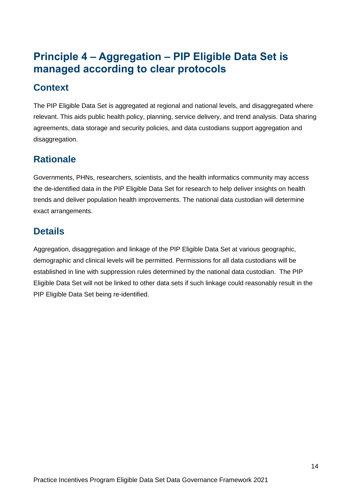# <span id="page-14-0"></span>**Principle 4 – Aggregation – PIP Eligible Data Set is managed according to clear protocols**

#### <span id="page-14-1"></span>**Context**

The PIP Eligible Data Set is aggregated at regional and national levels, and disaggregated where relevant. This aids public health policy, planning, service delivery, and trend analysis. Data sharing agreements, data storage and security policies, and data custodians support aggregation and disaggregation.

### <span id="page-14-2"></span>**Rationale**

Governments, PHNs, researchers, scientists, and the health informatics community may access the de-identified data in the PIP Eligible Data Set for research to help deliver insights on health trends and deliver population health improvements. The national data custodian will determine exact arrangements.

# <span id="page-14-3"></span>**Details**

Aggregation, disaggregation and linkage of the PIP Eligible Data Set at various geographic, demographic and clinical levels will be permitted. Permissions for all data custodians will be established in line with suppression rules determined by the national data custodian. The PIP Eligible Data Set will not be linked to other data sets if such linkage could reasonably result in the PIP Eligible Data Set being re-identified.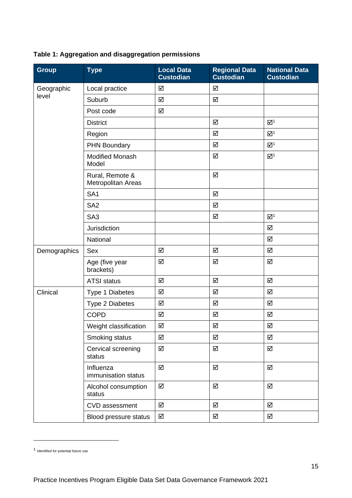|  | Table 1: Aggregation and disaggregation permissions |
|--|-----------------------------------------------------|
|--|-----------------------------------------------------|

<span id="page-15-0"></span>

| <b>Group</b> | <b>Type</b>                           | <b>Local Data</b><br><b>Custodian</b> | <b>Regional Data</b><br><b>Custodian</b> | <b>National Data</b><br><b>Custodian</b> |
|--------------|---------------------------------------|---------------------------------------|------------------------------------------|------------------------------------------|
| Geographic   | Local practice                        | ☑                                     | ☑                                        |                                          |
| level        | Suburb                                | ☑                                     | $\Delta$                                 |                                          |
|              | Post code                             | ☑                                     |                                          |                                          |
|              | <b>District</b>                       |                                       | ☑                                        | $\mathbf{Z}^1$                           |
|              | Region                                |                                       | $\Delta$                                 | $\mathbf{Z}^1$                           |
|              | <b>PHN Boundary</b>                   |                                       | $\Delta$                                 | $\mathbf{Z}^1$                           |
|              | <b>Modified Monash</b><br>Model       |                                       | ☑                                        | $\mathbf{Z}^1$                           |
|              | Rural, Remote &<br>Metropolitan Areas |                                       | ☑                                        |                                          |
|              | SA <sub>1</sub>                       |                                       | $\overline{\mathbf{M}}$                  |                                          |
|              | SA <sub>2</sub>                       |                                       | $\Delta$                                 |                                          |
|              | SA <sub>3</sub>                       |                                       | ☑                                        | $\mathbf{Z}^1$                           |
|              | <b>Jurisdiction</b>                   |                                       |                                          | ☑                                        |
|              | National                              |                                       |                                          | ☑                                        |
| Demographics | Sex                                   | ☑                                     | ☑                                        | ☑                                        |
|              | Age (five year<br>brackets)           | ☑                                     | ☑                                        | ☑                                        |
|              | <b>ATSI status</b>                    | ☑                                     | $\Delta$                                 | ☑                                        |
| Clinical     | Type 1 Diabetes                       | ☑                                     | ☑                                        | ☑                                        |
|              | Type 2 Diabetes                       | ☑                                     | ☑                                        | $\triangledown$                          |
|              | <b>COPD</b>                           | ☑                                     | ☑                                        | ☑                                        |
|              | Weight classification                 | ☑                                     | $\Delta$                                 | $\Delta$                                 |
|              | Smoking status                        | ☑                                     | $\Delta$                                 | ☑                                        |
|              | Cervical screening<br>status          | ☑                                     | $\overline{\mathsf{M}}$                  | $\overline{\mathsf{M}}$                  |
|              | Influenza<br>immunisation status      | ☑                                     | $\Delta$                                 | $\Delta$                                 |
|              | Alcohol consumption<br>status         | ☑                                     | $\Delta$                                 | $\Delta$                                 |
|              | CVD assessment                        | ☑                                     | $\Delta$                                 | $\Delta$                                 |
|              | Blood pressure status                 | ☑                                     | ☑                                        | ☑                                        |

<sup>1</sup> Identified for potential future use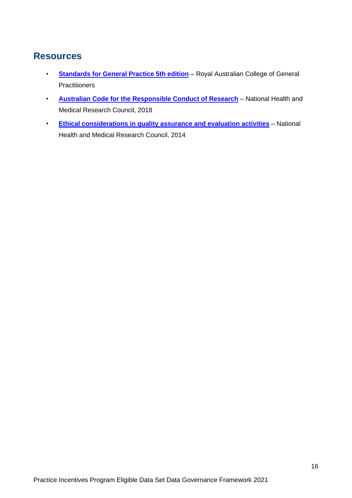- <span id="page-16-0"></span>• **[Standards for General Practice 5th edition](https://www.racgp.org.au/your-practice/standards/standards-for-general-practices-(5th-edition)/)** – Royal Australian College of General **Practitioners**
- **[Australian Code for the Responsible Conduct of Research](https://nhmrc.gov.au/about-us/publications/australian-code-responsible-conduct-research-2018#block-views-block-file-attachments-content-block-1)** National Health and Medical Research Council, 2018
- **[Ethical considerations in quality assurance and evaluation activities](https://nhmrc.gov.au/about-us/publications/ethical-considerations-quality-assurance-and-evaluation-activities)** National Health and Medical Research Council, 2014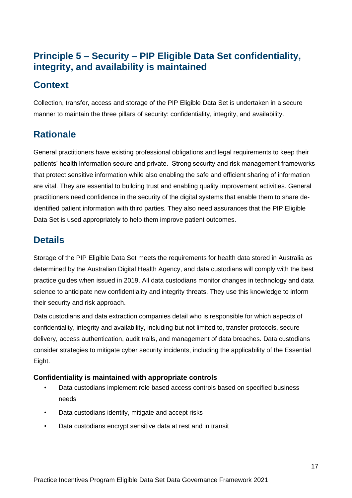### **Principle 5 – Security – PIP Eligible Data Set confidentiality, integrity, and availability is maintained**

### <span id="page-17-0"></span>**Context**

Collection, transfer, access and storage of the PIP Eligible Data Set is undertaken in a secure manner to maintain the three pillars of security: confidentiality, integrity, and availability.

# <span id="page-17-1"></span>**Rationale**

General practitioners have existing professional obligations and legal requirements to keep their patients' health information secure and private. Strong security and risk management frameworks that protect sensitive information while also enabling the safe and efficient sharing of information are vital. They are essential to building trust and enabling quality improvement activities. General practitioners need confidence in the security of the digital systems that enable them to share deidentified patient information with third parties. They also need assurances that the PIP Eligible Data Set is used appropriately to help them improve patient outcomes.

### <span id="page-17-2"></span>**Details**

Storage of the PIP Eligible Data Set meets the requirements for health data stored in Australia as determined by the Australian Digital Health Agency, and data custodians will comply with the best practice guides when issued in 2019. All data custodians monitor changes in technology and data science to anticipate new confidentiality and integrity threats. They use this knowledge to inform their security and risk approach.

Data custodians and data extraction companies detail who is responsible for which aspects of confidentiality, integrity and availability, including but not limited to, transfer protocols, secure delivery, access authentication, audit trails, and management of data breaches. Data custodians consider strategies to mitigate cyber security incidents, including the applicability of the Essential Eight.

#### <span id="page-17-3"></span>**Confidentiality is maintained with appropriate controls**

- Data custodians implement role based access controls based on specified business needs
- Data custodians identify, mitigate and accept risks
- Data custodians encrypt sensitive data at rest and in transit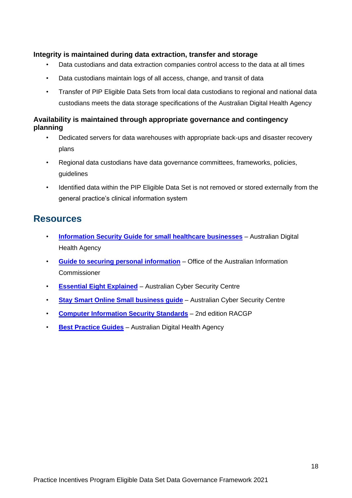#### <span id="page-18-0"></span>**Integrity is maintained during data extraction, transfer and storage**

- Data custodians and data extraction companies control access to the data at all times
- Data custodians maintain logs of all access, change, and transit of data
- Transfer of PIP Eligible Data Sets from local data custodians to regional and national data custodians meets the data storage specifications of the Australian Digital Health Agency

#### <span id="page-18-1"></span>**Availability is maintained through appropriate governance and contingency planning**

- Dedicated servers for data warehouses with appropriate back-ups and disaster recovery plans
- Regional data custodians have data governance committees, frameworks, policies, guidelines
- Identified data within the PIP Eligible Data Set is not removed or stored externally from the general practice's clinical information system

- <span id="page-18-2"></span>• **[Information Security Guide for small healthcare businesses](https://www.digitalhealth.gov.au/about-the-agency/digital-health-cyber-security-centre/information-security-guide-for-small-healthcare-businesses)** – Australian Digital Health Agency
- **[Guide to securing personal information](https://www.oaic.gov.au/agencies-and-organisations/guides/guide-to-securing-personal-information)** Office of the Australian Information Commissioner
- **[Essential Eight Explained](https://acsc.gov.au/publications/protect/essential-eight-explained.htm)** Australian Cyber Security Centre
- **[Stay Smart Online Small business guide](https://www.staysmartonline.gov.au/get-involved/guides/smallbusinessguide)** Australian Cyber Security Centre
- **[Computer Information Security Standards](https://www.racgp.org.au/your-practice/standards/computer-and-information-security-standards/)** 2nd edition RACGP
- **[Best Practice Guides](https://www.digitalhealth.gov.au/about-the-agency/digital-health-cyber-security-centre)** Australian Digital Health Agency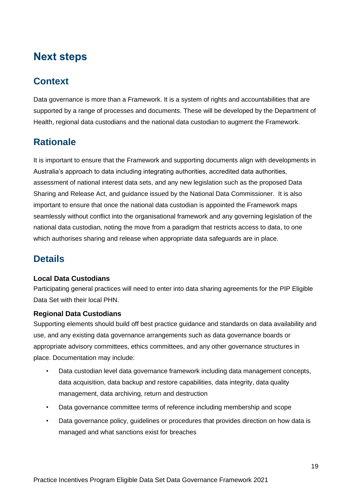# <span id="page-19-0"></span>**Next steps**

## <span id="page-19-1"></span>**Context**

Data governance is more than a Framework. It is a system of rights and accountabilities that are supported by a range of processes and documents. These will be developed by the Department of Health, regional data custodians and the national data custodian to augment the Framework.

### <span id="page-19-2"></span>**Rationale**

It is important to ensure that the Framework and supporting documents align with developments in Australia's approach to data including integrating authorities, accredited data authorities, assessment of national interest data sets, and any new legislation such as the proposed Data Sharing and Release Act, and guidance issued by the National Data Commissioner. It is also important to ensure that once the national data custodian is appointed the Framework maps seamlessly without conflict into the organisational framework and any governing legislation of the national data custodian, noting the move from a paradigm that restricts access to data, to one which authorises sharing and release when appropriate data safeguards are in place.

### <span id="page-19-3"></span>**Details**

#### <span id="page-19-4"></span>**Local Data Custodians**

Participating general practices will need to enter into data sharing agreements for the PIP Eligible Data Set with their local PHN.

#### **Regional Data Custodians**

Supporting elements should build off best practice guidance and standards on data availability and use, and any existing data governance arrangements such as data governance boards or appropriate advisory committees, ethics committees, and any other governance structures in place. Documentation may include:

- Data custodian level data governance framework including data management concepts, data acquisition, data backup and restore capabilities, data integrity, data quality management, data archiving, return and destruction
- Data governance committee terms of reference including membership and scope
- Data governance policy, guidelines or procedures that provides direction on how data is managed and what sanctions exist for breaches